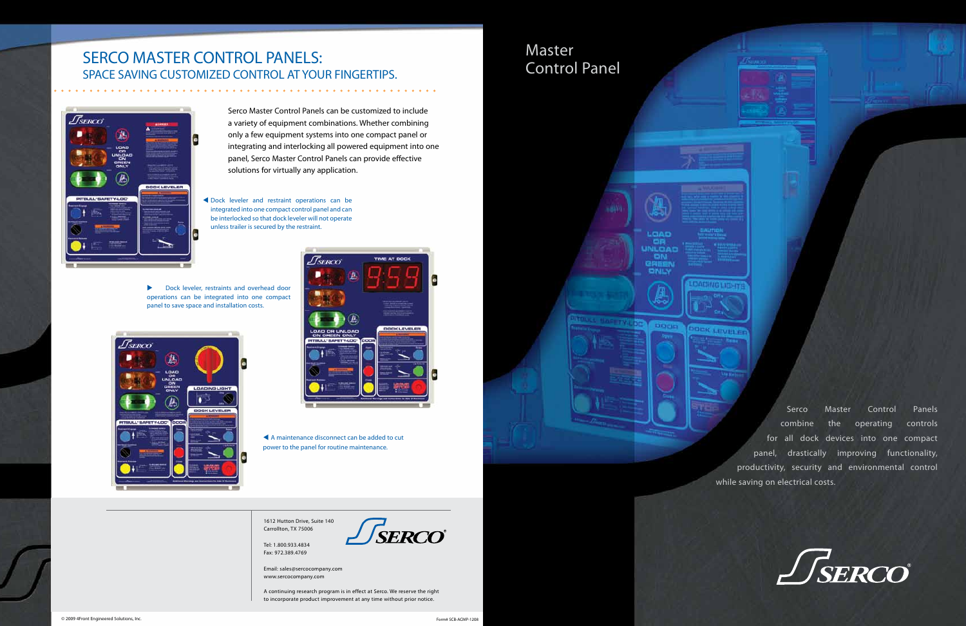Serco Master Control Panels can be customized to include a variety of equipment combinations. Whether combining only a few equipment systems into one compact panel or integrating and interlocking all powered equipment into one panel, Serco Master Control Panels can provide effective solutions for virtually any application.

# Master Control Panel



Serco Master Control Panels combine the operating controls for all dock devices into one compact panel, drastically improving functionality, productivity, security and environmental control while saving on electrical costs.



## SERCO MASTER CONTROL PANELS: Space Saving Customized control at your fingertips.



A continuing research program is in effect at Serco. We reserve the right to incorporate product improvement at any time without prior notice.

**Dock leveler, restraints and overhead door** operations can be integrated into one compact panel to save space and installation costs.





NG MEND

OCK LEVELET

1612 Hutton Drive, Suite 140 Carrollton, TX 75006

Tel: 1.800.933.4834 Fax: 972.389.4769



Email: sales@sercocompany.com www.sercocompany.com

 Dock leveler and restraint operations can be integrated into one compact control panel and can be interlocked so that dock leveler will not operate unless trailer is secured by the restraint.

> A maintenance disconnect can be added to cut power to the panel for routine maintenance.